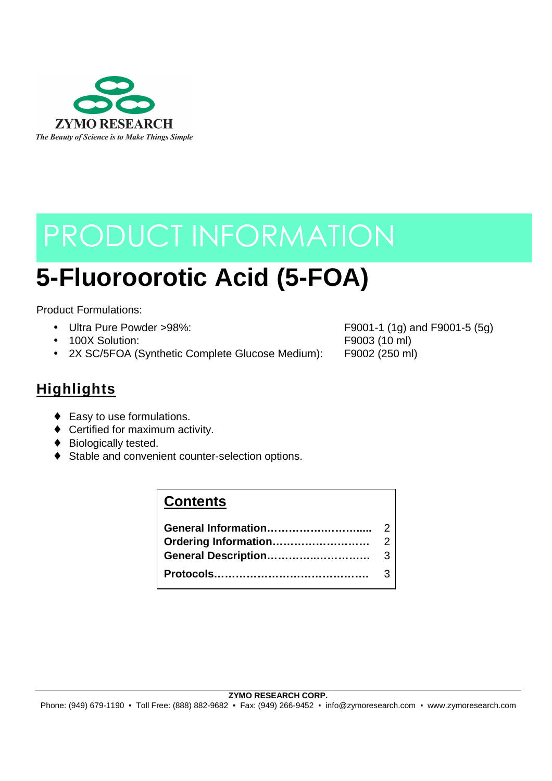

# PRODUCT INFORMATION

## **5-Fluoroorotic Acid (5-FOA)**

Product Formulations:

- 
- 100X Solution: F9003 (10 ml)
- 2X SC/5FOA (Synthetic Complete Glucose Medium): F9002 (250 ml)

• Ultra Pure Powder >98%: F9001-1 (1g) and F9001-5 (5g)

## **Highlights**

- ♦ Easy to use formulations.
- ♦ Certified for maximum activity.
- ♦ Biologically tested.
- ♦ Stable and convenient counter-selection options.

| <b>Contents</b> |  |
|-----------------|--|
|                 |  |
|                 |  |
|                 |  |
|                 |  |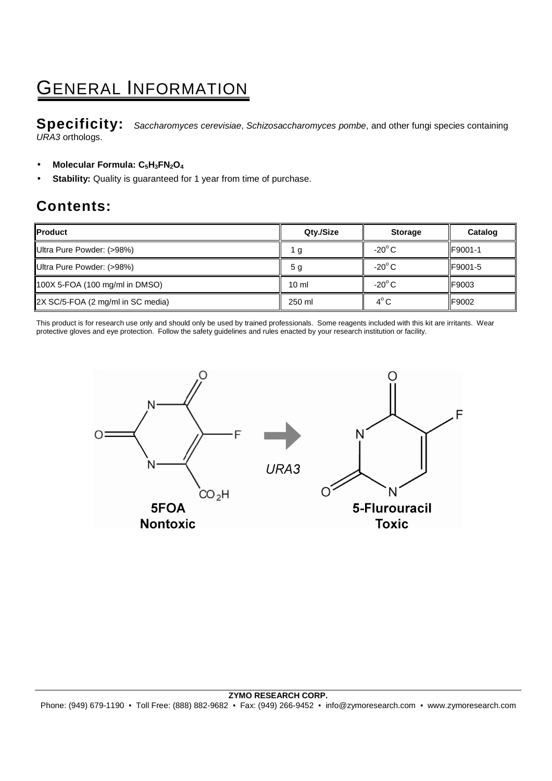## **GENERAL INFORMATION**

Specificity: Saccharomyces cerevisiae, Schizosaccharomyces pombe, and other fungi species containing URA3 orthologs.

#### • **Molecular Formula: C5H3FN2O<sup>4</sup>**

• **Stability:** Quality is guaranteed for 1 year from time of purchase.

## **Contents:**

| Product                           | Qty./Size       | <b>Storage</b>  | Catalog         |
|-----------------------------------|-----------------|-----------------|-----------------|
| Ultra Pure Powder: (>98%)         | 1 g             | $-20^{\circ}$ C | <b>IF9001-1</b> |
| Ultra Pure Powder: (>98%)         | 5 g             | $-20^{\circ}$ C | IF9001-5        |
| $100X$ 5-FOA (100 mg/ml in DMSO)  | $10 \mathrm{m}$ | $-20^{\circ}$ C | <b>IF9003</b>   |
| 2X SC/5-FOA (2 mg/ml in SC media) | 250 ml          | $4^{\circ}$ C   | F9002           |

This product is for research use only and should only be used by trained professionals. Some reagents included with this kit are irritants. Wear protective gloves and eye protection. Follow the safety guidelines and rules enacted by your research institution or facility.